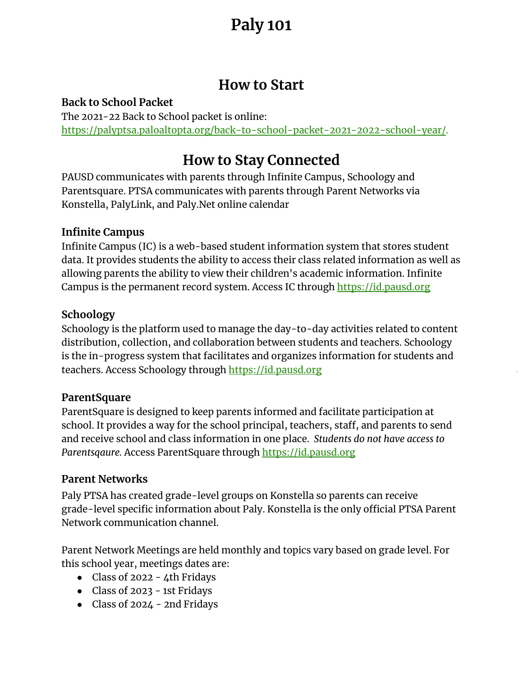### **How to Start**

#### **Back to School Packet**

The 2021-22 Back to School packet is online: https://palyptsa.paloaltopta.org/back-to-school-packet-2021-2022-school-year/.

### **How to Stay Connected**

PAUSD communicates with parents through Infinite Campus, Schoology and Parentsquare. PTSA communicates with parents through Parent Networks via Konstella, PalyLink, and Paly.Net online calendar

#### **Infinite Campus**

Infinite Campus (IC) is a web-based student information system that stores student data. It provides students the ability to access their class related information as well as allowing parents the ability to view their children's academic information. Infinite Campus is the permanent record system. Access IC through https://id.pausd.org

#### **Schoology**

Schoology is the platform used to manage the day-to-day activities related to content distribution, collection, and collaboration between students and teachers. Schoology is the in-progress system that facilitates and organizes information for students and teachers. Access Schoology through https://id.pausd.org

#### **ParentSquare**

ParentSquare is designed to keep parents informed and facilitate participation at school. It provides a way for the school principal, teachers, staff, and parents to send and receive school and class information in one place. *Students do not have access to Parentsqaure.* Access ParentSquare through https://id.pausd.org

#### **Parent Networks**

Paly PTSA has created grade-level groups on Konstella so parents can receive grade-level specific information about Paly. Konstella is the only official PTSA Parent Network communication channel.

Parent Network Meetings are held monthly and topics vary based on grade level. For this school year, meetings dates are:

- Class of 2022 4th Fridays
- Class of 2023 1st Fridays
- Class of 2024 2nd Fridays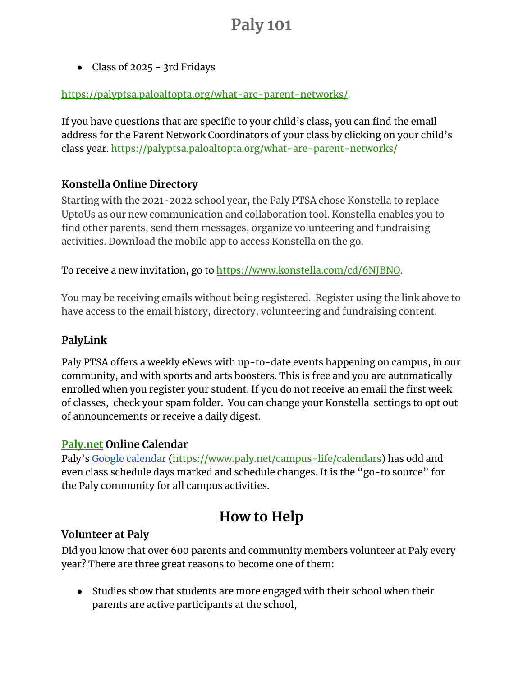● Class of 2025 - 3rd Fridays

#### https://palyptsa.paloaltopta.org/what-are-parent-networks/.

If you have questions that are specific to your child's class, you can find the email address for the Parent Network Coordinators of your class by clicking on your child's class year. https://palyptsa.paloaltopta.org/what-are-parent-networks/

#### **Konstella Online Directory**

Starting with the 2021-2022 school year, the Paly PTSA chose Konstella to replace UptoUs as our new communication and collaboration tool. Konstella enables you to find other parents, send them messages, organize volunteering and fundraising activities. Download the mobile app to access Konstella on the go.

To receive a new invitation, go to https://www.konstella.com/cd/6NJBNO.

You may be receiving emails without being registered. Register using the link above to have access to the email history, directory, volunteering and fundraising content.

#### **PalyLink**

Paly PTSA offers a weekly eNews with up-to-date events happening on campus, in our community, and with sports and arts boosters. This is free and you are automatically enrolled when you register your student. If you do not receive an email the first week of classes, check your spam folder. You can change your Konstella settings to opt out of announcements or receive a daily digest.

#### **Paly.net Online Calendar**

Paly's Google calendar (https://www.paly.net/campus-life/calendars) has odd and even class schedule days marked and schedule changes. It is the "go-to source" for the Paly community for all campus activities.

## **How to Help**

#### **Volunteer at Paly**

Did you know that over 600 parents and community members volunteer at Paly every year? There are three great reasons to become one of them:

• Studies show that students are more engaged with their school when their parents are active participants at the school,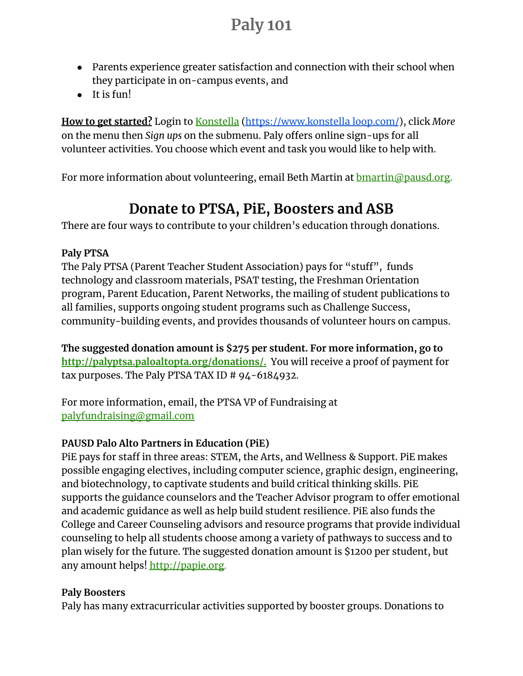- Parents experience greater satisfaction and connection with their school when they participate in on-campus events, and
- It is fun!

**How to get started?** Login to Konstella (https://www.konstella loop.com/), click *More* on the menu then *Sign ups* on the submenu. Paly offers online sign-ups for all volunteer activities. You choose which event and task you would like to help with.

For more information about volunteering, email Beth Martin at **bmartin@pausd.org.** 

## **Donate to PTSA, PiE, Boosters and ASB**

There are four ways to contribute to your children's education through donations.

#### **Paly PTSA**

The Paly PTSA (Parent Teacher Student Association) pays for "stuff", funds technology and classroom materials, PSAT testing, the Freshman Orientation program, Parent Education, Parent Networks, the mailing of student publications to all families, supports ongoing student programs such as Challenge Success, community-building events, and provides thousands of volunteer hours on campus.

**The suggested donation amount is \$275 per student. For more information, go to http://palyptsa.paloaltopta.org/donations/.** You will receive a proof of payment for tax purposes. The Paly PTSA TAX ID # 94-6184932.

For more information, email, the PTSA VP of Fundraising at palyfundraising@gmail.com

#### **PAUSD Palo Alto Partners in Education (PiE)**

PiE pays for staff in three areas: STEM, the Arts, and Wellness & Support. PiE makes possible engaging electives, including computer science, graphic design, engineering, and biotechnology, to captivate students and build critical thinking skills. PiE supports the guidance counselors and the Teacher Advisor program to offer emotional and academic guidance as well as help build student resilience. PiE also funds the College and Career Counseling advisors and resource programs that provide individual counseling to help all students choose among a variety of pathways to success and to plan wisely for the future. The suggested donation amount is \$1200 per student, but any amount helps! http://papie.org.

#### **Paly Boosters**

Paly has many extracurricular activities supported by booster groups. Donations to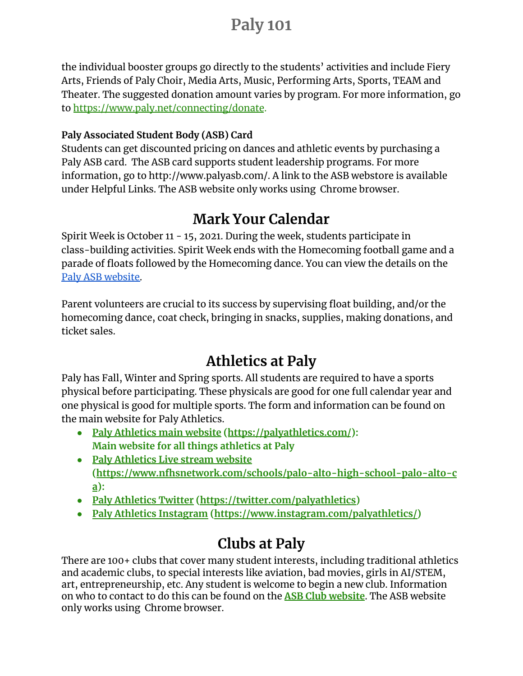the individual booster groups go directly to the students' activities and include Fiery Arts, Friends of Paly Choir, Media Arts, Music, Performing Arts, Sports, TEAM and Theater. The suggested donation amount varies by program. For more information, go to https://www.paly.net/connecting/donate.

#### **Paly Associated Student Body (ASB) Card**

Students can get discounted pricing on dances and athletic events by purchasing a Paly ASB card. The ASB card supports student leadership programs. For more information, go to http://www.palyasb.com/. A link to the ASB webstore is available under Helpful Links. The ASB website only works using Chrome browser.

## **Mark Your Calendar**

Spirit Week is October 11 - 15, 2021. During the week, students participate in class-building activities. Spirit Week ends with the Homecoming football game and a parade of floats followed by the Homecoming dance. You can view the details on the Paly ASB website.

Parent volunteers are crucial to its success by supervising float building, and/or the homecoming dance, coat check, bringing in snacks, supplies, making donations, and ticket sales.

## **Athletics at Paly**

Paly has Fall, Winter and Spring sports. All students are required to have a sports physical before participating. These physicals are good for one full calendar year and one physical is good for multiple sports. The form and information can be found on the main website for Paly Athletics.

- **● Paly Athletics main website (https://palyathletics.com/): Main website for all things athletics at Paly**
- **● Paly Athletics Live stream website (https://www.nfhsnetwork.com/schools/palo-alto-high-school-palo-alto-c a):**
- **● Paly Athletics Twitter (https://twitter.com/palyathletics)**
- **● Paly Athletics Instagram (https://www.instagram.com/palyathletics/)**

# **Clubs at Paly**

There are 100+ clubs that cover many student interests, including traditional athletics and academic clubs, to special interests like aviation, bad movies, girls in AI/STEM, art, entrepreneurship, etc. Any student is welcome to begin a new club. Information on who to contact to do this can be found on the **ASB Club website**. The ASB website only works using Chrome browser.